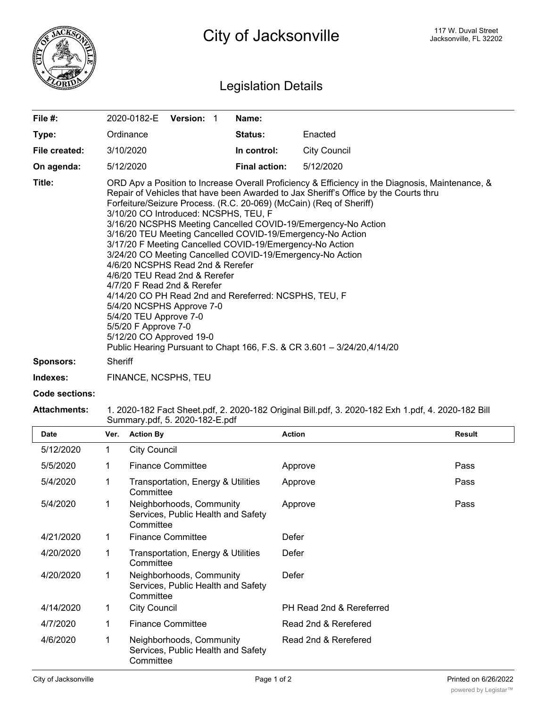

## Legislation Details

| File $#$ :       | 2020-0182-E Version: 1                                                                                                                                                                                                                                                                                                                                                                                                                                                                                                                                                                                                                                                                                                                                                                                                                                                                                              |  | Name:                |                     |  |  |  |
|------------------|---------------------------------------------------------------------------------------------------------------------------------------------------------------------------------------------------------------------------------------------------------------------------------------------------------------------------------------------------------------------------------------------------------------------------------------------------------------------------------------------------------------------------------------------------------------------------------------------------------------------------------------------------------------------------------------------------------------------------------------------------------------------------------------------------------------------------------------------------------------------------------------------------------------------|--|----------------------|---------------------|--|--|--|
| Type:            | Ordinance                                                                                                                                                                                                                                                                                                                                                                                                                                                                                                                                                                                                                                                                                                                                                                                                                                                                                                           |  | <b>Status:</b>       | Enacted             |  |  |  |
| File created:    | 3/10/2020                                                                                                                                                                                                                                                                                                                                                                                                                                                                                                                                                                                                                                                                                                                                                                                                                                                                                                           |  | In control:          | <b>City Council</b> |  |  |  |
| On agenda:       | 5/12/2020                                                                                                                                                                                                                                                                                                                                                                                                                                                                                                                                                                                                                                                                                                                                                                                                                                                                                                           |  | <b>Final action:</b> | 5/12/2020           |  |  |  |
| Title:           | ORD Apv a Position to Increase Overall Proficiency & Efficiency in the Diagnosis, Maintenance, &<br>Repair of Vehicles that have been Awarded to Jax Sheriff's Office by the Courts thru<br>Forfeiture/Seizure Process. (R.C. 20-069) (McCain) (Req of Sheriff)<br>3/10/20 CO Introduced: NCSPHS, TEU, F<br>3/16/20 NCSPHS Meeting Cancelled COVID-19/Emergency-No Action<br>3/16/20 TEU Meeting Cancelled COVID-19/Emergency-No Action<br>3/17/20 F Meeting Cancelled COVID-19/Emergency-No Action<br>3/24/20 CO Meeting Cancelled COVID-19/Emergency-No Action<br>4/6/20 NCSPHS Read 2nd & Rerefer<br>4/6/20 TEU Read 2nd & Rerefer<br>4/7/20 F Read 2nd & Rerefer<br>4/14/20 CO PH Read 2nd and Rereferred: NCSPHS, TEU, F<br>5/4/20 NCSPHS Approve 7-0<br>5/4/20 TEU Approve 7-0<br>5/5/20 F Approve 7-0<br>5/12/20 CO Approved 19-0<br>Public Hearing Pursuant to Chapt 166, F.S. & CR 3.601 - 3/24/20,4/14/20 |  |                      |                     |  |  |  |
| <b>Sponsors:</b> | Sheriff                                                                                                                                                                                                                                                                                                                                                                                                                                                                                                                                                                                                                                                                                                                                                                                                                                                                                                             |  |                      |                     |  |  |  |
| Indexes:         | FINANCE, NCSPHS, TEU                                                                                                                                                                                                                                                                                                                                                                                                                                                                                                                                                                                                                                                                                                                                                                                                                                                                                                |  |                      |                     |  |  |  |

**Code sections:**

## **Attachments:** 1. 2020-182 Fact Sheet.pdf, 2. 2020-182 Original Bill.pdf, 3. 2020-182 Exh 1.pdf, 4. 2020-182 Bill Summary.pdf, 5. 2020-182-E.pdf

| <b>Date</b> | Ver. | <b>Action By</b>                                                            | <b>Action</b>            | Result |
|-------------|------|-----------------------------------------------------------------------------|--------------------------|--------|
| 5/12/2020   | 1    | <b>City Council</b>                                                         |                          |        |
| 5/5/2020    | 1    | <b>Finance Committee</b>                                                    | Approve                  | Pass   |
| 5/4/2020    |      | Transportation, Energy & Utilities<br>Committee                             | Approve                  | Pass   |
| 5/4/2020    | 1    | Neighborhoods, Community<br>Services, Public Health and Safety<br>Committee | Approve                  | Pass   |
| 4/21/2020   | 1    | <b>Finance Committee</b>                                                    | Defer                    |        |
| 4/20/2020   | 1    | Transportation, Energy & Utilities<br>Committee                             | Defer                    |        |
| 4/20/2020   | 1    | Neighborhoods, Community<br>Services, Public Health and Safety<br>Committee | Defer                    |        |
| 4/14/2020   | 1    | <b>City Council</b>                                                         | PH Read 2nd & Rereferred |        |
| 4/7/2020    |      | <b>Finance Committee</b>                                                    | Read 2nd & Rerefered     |        |
| 4/6/2020    | 1    | Neighborhoods, Community<br>Services, Public Health and Safety<br>Committee | Read 2nd & Rerefered     |        |